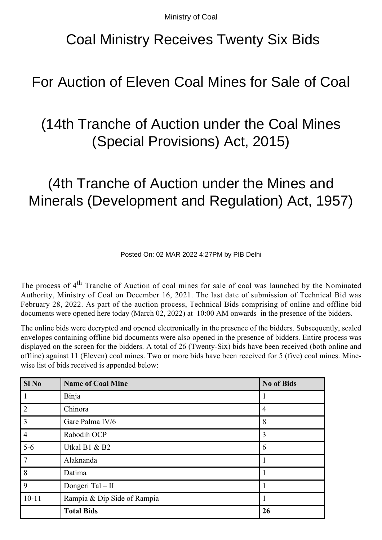Ministry of Coal

# Coal Ministry Receives Twenty Six Bids

#### For Auction of Eleven Coal Mines for Sale of Coal

# (14th Tranche of Auction under the Coal Mines (Special Provisions) Act, 2015)

# (4th Tranche of Auction under the Mines and Minerals (Development and Regulation) Act, 1957)

Posted On: 02 MAR 2022 4:27PM by PIB Delhi

The process of 4<sup>th</sup> Tranche of Auction of coal mines for sale of coal was launched by the Nominated Authority, Ministry of Coal on December 16, 2021. The last date of submission of Technical Bid was February 28, 2022. As part of the auction process, Technical Bids comprising of online and offline bid documents were opened here today (March 02, 2022) at 10:00 AM onwards in the presence of the bidders.

The online bids were decrypted and opened electronically in the presence of the bidders. Subsequently, sealed envelopes containing offline bid documents were also opened in the presence of bidders. Entire process was displayed on the screen for the bidders. A total of 26 (Twenty-Six) bids have been received (both online and offline) against 11 (Eleven) coal mines. Two or more bids have been received for 5 (five) coal mines. Minewise list of bids received is appended below:

| Sl <sub>No</sub> | <b>Name of Coal Mine</b>    | <b>No of Bids</b> |
|------------------|-----------------------------|-------------------|
|                  | Binja                       |                   |
| $\overline{2}$   | Chinora                     | 4                 |
| $\overline{3}$   | Gare Palma IV/6             | 8                 |
| $\overline{4}$   | Rabodih OCP                 | 3                 |
| $5-6$            | Utkal B1 & B2               | 6                 |
| $\overline{7}$   | Alaknanda                   |                   |
| 8                | Datima                      |                   |
| 9                | Dongeri Tal - II            |                   |
| $10 - 11$        | Rampia & Dip Side of Rampia |                   |
|                  | <b>Total Bids</b>           | 26                |